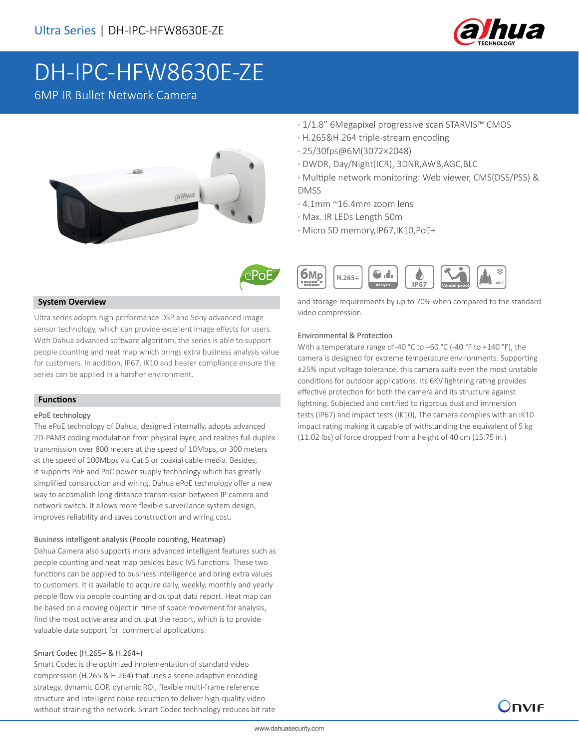

# DH-IPC-HFW8630E-ZE

6MP IR Bullet Network Camera





## **System Overview**

Ultra series adopts high performance DSP and Sony advanced image sensor technology, which can provide excellent image effects for users. With Dahua advanced software algorithm, the series is able to support people counting and heat map which brings extra business analysis value for customers. In addition, IP67, IK10 and heater compliance ensure the series can be applied in a harsher environment.

## **Functions**

#### ePoE technology

The ePoE technology of Dahua, designed internally, adopts advanced 2D-PAM3 coding modulation from physical layer, and realizes full duplex transmission over 800 meters at the speed of 10Mbps, or 300 meters at the speed of 100Mbps via Cat 5 or coaxial cable media. Besides, it supports PoE and PoC power supply technology which has greatly simplified construction and wiring. Dahua ePoE technology offer a new way to accomplish long distance transmission between IP camera and network switch. It allows more flexible surveillance system design, improves reliability and saves construction and wiring cost.

## Business intelligent analysis (People counting, Heatmap)

Dahua Camera also supports more advanced intelligent features such as people counting and heat map besides basic IVS functions. These two functions can be applied to business intelligence and bring extra values to customers. It is available to acquire daily, weekly, monthly and yearly people flow via people counting and output data report. Heat map can be based on a moving object in time of space movement for analysis, find the most active area and output the report, which is to provide valuable data support for commercial applications.

# Smart Codec (H.265+ & H.264+)

Smart Codec is the optimized implementation of standard video compression (H.265 & H.264) that uses a scene-adaptive encoding strategy, dynamic GOP, dynamic ROI, flexible multi-frame reference structure and intelligent noise reduction to deliver high-quality video without straining the network. Smart Codec technology reduces bit rate

- · 1/1.8" 6Megapixel progressive scan STARVIS™ CMOS
- · H.265&H.264 triple-stream encoding
- · 25/30fps@6M(3072×2048)
- · DWDR, Day/Night(ICR), 3DNR,AWB,AGC,BLC
- · Multiple network monitoring: Web viewer, CMS(DSS/PSS) & DMSS
- · 4.1mm ~16.4mm zoom lens
- · Max. IR LEDs Length 50m
- · Micro SD memory,IP67,IK10,PoE+



and storage requirements by up to 70% when compared to the standard video compression.

#### Environmental & Protection

With a temperature range of -40 °C to +60 °C (-40 °F to +140 °F), the camera is designed for extreme temperature environments. Supporting ±25% input voltage tolerance, this camera suits even the most unstable conditions for outdoor applications. Its 6KV lightning rating provides effective protection for both the camera and its structure against lightning. Subjected and certified to rigorous dust and immersion tests (IP67) and impact tests (IK10), The camera complies with an IK10 impact rating making it capable of withstanding the equivalent of 5 kg (11.02 lbs) of force dropped from a height of 40 cm (15.75 in.)

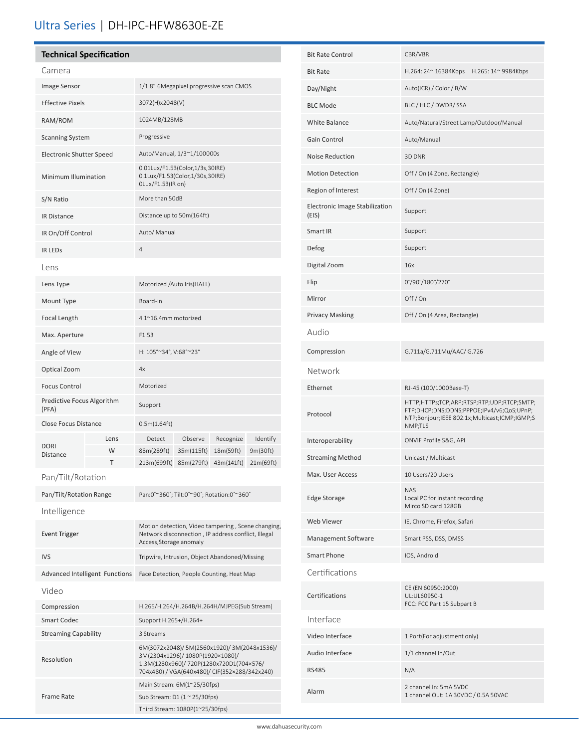# Ultra Series | DH-IPC-HFW8630E-ZE

# **Technical Specification**

| Camera                              |      |                                                                                         |            |            |           |
|-------------------------------------|------|-----------------------------------------------------------------------------------------|------------|------------|-----------|
| Image Sensor                        |      | 1/1.8" 6Megapixel progressive scan CMOS                                                 |            |            |           |
| <b>Effective Pixels</b>             |      | 3072(H)x2048(V)                                                                         |            |            |           |
| RAM/ROM                             |      | 1024MB/128MB                                                                            |            |            |           |
| <b>Scanning System</b>              |      | Progressive                                                                             |            |            |           |
| <b>Electronic Shutter Speed</b>     |      | Auto/Manual, 1/3~1/100000s                                                              |            |            |           |
| Minimum Illumination                |      | 0.01Lux/F1.53(Color,1/3s,30IRE)<br>0.1Lux/F1.53(Color,1/30s,30IRE)<br>OLux/F1.53(IR on) |            |            |           |
| S/N Ratio                           |      | More than 50dB                                                                          |            |            |           |
| <b>IR Distance</b>                  |      | Distance up to 50m(164ft)                                                               |            |            |           |
| IR On/Off Control                   |      | Auto/ Manual                                                                            |            |            |           |
| <b>IR LEDS</b>                      |      | $\overline{4}$                                                                          |            |            |           |
| Lens                                |      |                                                                                         |            |            |           |
| Lens Type                           |      | Motorized /Auto Iris(HALL)                                                              |            |            |           |
| Mount Type                          |      | Board-in                                                                                |            |            |           |
| Focal Length                        |      | 4.1~16.4mm motorized                                                                    |            |            |           |
| Max. Aperture                       |      | F1.53                                                                                   |            |            |           |
| Angle of View                       |      | H: 105°~34°, V:68°~23°                                                                  |            |            |           |
| Optical Zoom                        |      | 4x                                                                                      |            |            |           |
| <b>Focus Control</b>                |      | Motorized                                                                               |            |            |           |
| Predictive Focus Algorithm<br>(PFA) |      | Support                                                                                 |            |            |           |
| <b>Close Focus Distance</b>         |      | 0.5m(1.64ft)                                                                            |            |            |           |
| <b>DORI</b><br><b>Distance</b>      | Lens | Detect                                                                                  | Observe    | Recognize  | Identify  |
|                                     | W    | 88m(289ft)                                                                              | 35m(115ft) | 18m(59ft)  | 9m(30ft)  |
|                                     | T    | 213m(699ft)                                                                             | 85m(279ft) | 43m(141ft) | 21m(69ft) |

| Pan/Tilt/Rotation                     |                                                                                                                                                                               |  |  |  |
|---------------------------------------|-------------------------------------------------------------------------------------------------------------------------------------------------------------------------------|--|--|--|
| Pan/Tilt/Rotation Range               | Pan:0°~360°; Tilt:0°~90°; Rotation:0°~360°                                                                                                                                    |  |  |  |
| Intelligence                          |                                                                                                                                                                               |  |  |  |
| <b>Event Trigger</b>                  | Motion detection, Video tampering, Scene changing,<br>Network disconnection, IP address conflict, Illegal<br>Access, Storage anomaly                                          |  |  |  |
| <b>IVS</b>                            | Tripwire, Intrusion, Object Abandoned/Missing                                                                                                                                 |  |  |  |
| <b>Advanced Intelligent Functions</b> | Face Detection, People Counting, Heat Map                                                                                                                                     |  |  |  |
| Video                                 |                                                                                                                                                                               |  |  |  |
| Compression                           | H.265/H.264/H.264B/H.264H/MJPEG(Sub Stream)                                                                                                                                   |  |  |  |
| Smart Codec                           | Support H.265+/H.264+                                                                                                                                                         |  |  |  |
| <b>Streaming Capability</b>           | 3 Streams                                                                                                                                                                     |  |  |  |
| Resolution                            | 6M(3072x2048)/ 5M(2560x1920)/ 3M(2048x1536)/<br>3M(2304x1296)/ 1080P(1920×1080)/<br>1.3M(1280x960)/ 720P(1280x720D1(704x576/<br>704x480) / VGA(640x480)/ CIF(352×288/342x240) |  |  |  |
|                                       | Main Stream: 6M(1~25/30fps)                                                                                                                                                   |  |  |  |
| Frame Rate                            | Sub Stream: D1 $(1 \approx 25/30$ fps)                                                                                                                                        |  |  |  |
|                                       | Third Stream: 1080P(1~25/30fps)                                                                                                                                               |  |  |  |

ĺ

| <b>Bit Rate Control</b>                 | CBR/VBR                                                                                                                                             |  |  |
|-----------------------------------------|-----------------------------------------------------------------------------------------------------------------------------------------------------|--|--|
| <b>Bit Rate</b>                         | H.264: 24~ 16384Kbps<br>H.265: 14~ 9984Kbps                                                                                                         |  |  |
| Day/Night                               | Auto(ICR) / Color / B/W                                                                                                                             |  |  |
| <b>BLC Mode</b>                         | BLC / HLC / DWDR/ SSA                                                                                                                               |  |  |
| White Balance                           | Auto/Natural/Street Lamp/Outdoor/Manual                                                                                                             |  |  |
| Gain Control                            | Auto/Manual                                                                                                                                         |  |  |
| Noise Reduction                         | 3D DNR                                                                                                                                              |  |  |
| <b>Motion Detection</b>                 | Off / On (4 Zone, Rectangle)                                                                                                                        |  |  |
| Region of Interest                      | Off / On (4 Zone)                                                                                                                                   |  |  |
| Electronic Image Stabilization<br>(EIS) | Support                                                                                                                                             |  |  |
| Smart IR                                | Support                                                                                                                                             |  |  |
| Defog                                   | Support                                                                                                                                             |  |  |
| Digital Zoom                            | 16x                                                                                                                                                 |  |  |
| Flip                                    | 0°/90°/180°/270°                                                                                                                                    |  |  |
| Mirror                                  | Off/On                                                                                                                                              |  |  |
| <b>Privacy Masking</b>                  | Off / On (4 Area, Rectangle)                                                                                                                        |  |  |
| Audio                                   |                                                                                                                                                     |  |  |
| Compression                             | G.711a/G.711Mu/AAC/ G.726                                                                                                                           |  |  |
| Network                                 |                                                                                                                                                     |  |  |
| Ethernet                                | RJ-45 (100/1000Base-T)                                                                                                                              |  |  |
| Protocol                                | HTTP;HTTPs;TCP;ARP;RTSP;RTP;UDP;RTCP;SMTP;<br>FTP;DHCP;DNS;DDNS;PPPOE;IPv4/v6;QoS;UPnP;<br>NTP;Bonjour;IEEE 802.1x;Multicast;ICMP;IGMP;S<br>NMP;TLS |  |  |
| Interoperability                        | ONVIF Profile S&G, API                                                                                                                              |  |  |
| <b>Streaming Method</b>                 | Unicast / Multicast                                                                                                                                 |  |  |
| Max. User Access                        | 10 Users/20 Users                                                                                                                                   |  |  |
| <b>Edge Storage</b>                     | <b>NAS</b><br>Local PC for instant recording<br>Mirco SD card 128GB                                                                                 |  |  |
| Web Viewer                              | IE, Chrome, Firefox, Safari                                                                                                                         |  |  |
| Management Software                     | Smart PSS, DSS, DMSS                                                                                                                                |  |  |
| Smart Phone                             | IOS, Android                                                                                                                                        |  |  |
| Certifications                          |                                                                                                                                                     |  |  |
| Certifications                          | CE (EN 60950:2000)<br>UL:UL60950-1<br>FCC: FCC Part 15 Subpart B                                                                                    |  |  |
| Interface                               |                                                                                                                                                     |  |  |
| Video Interface                         | 1 Port(For adjustment only)                                                                                                                         |  |  |
| Audio Interface                         | 1/1 channel In/Out                                                                                                                                  |  |  |
| <b>RS485</b>                            | N/A                                                                                                                                                 |  |  |
| Alarm                                   | 2 channel In: 5mA 5VDC<br>1 channel Out: 1A 30VDC / 0.5A 50VAC                                                                                      |  |  |